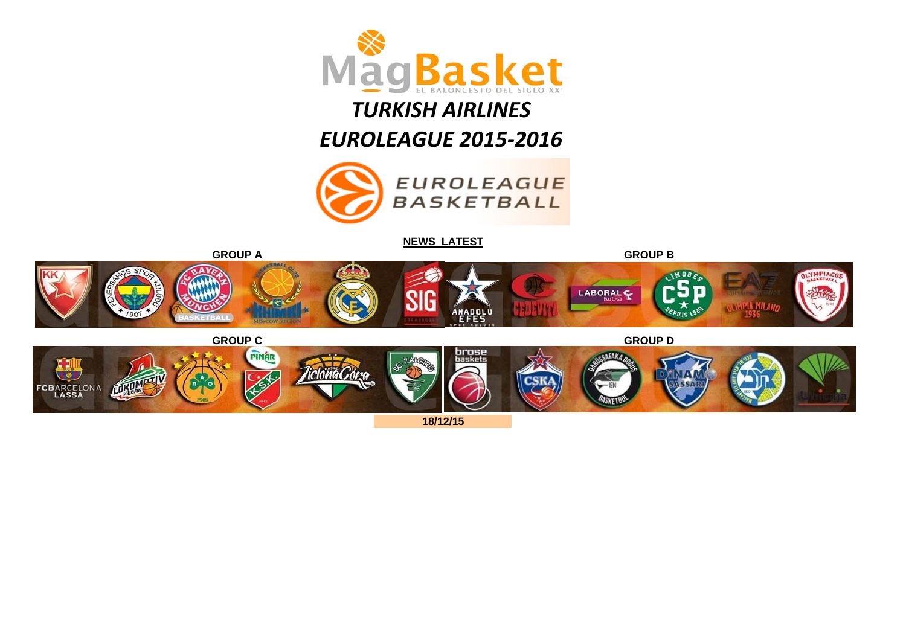

# *TURKISH AIRLINES*

*EUROLEAGUE 2015‐2016*



**[NEWS LATEST](http://www.euroleague.net/news)**



**18/12/15**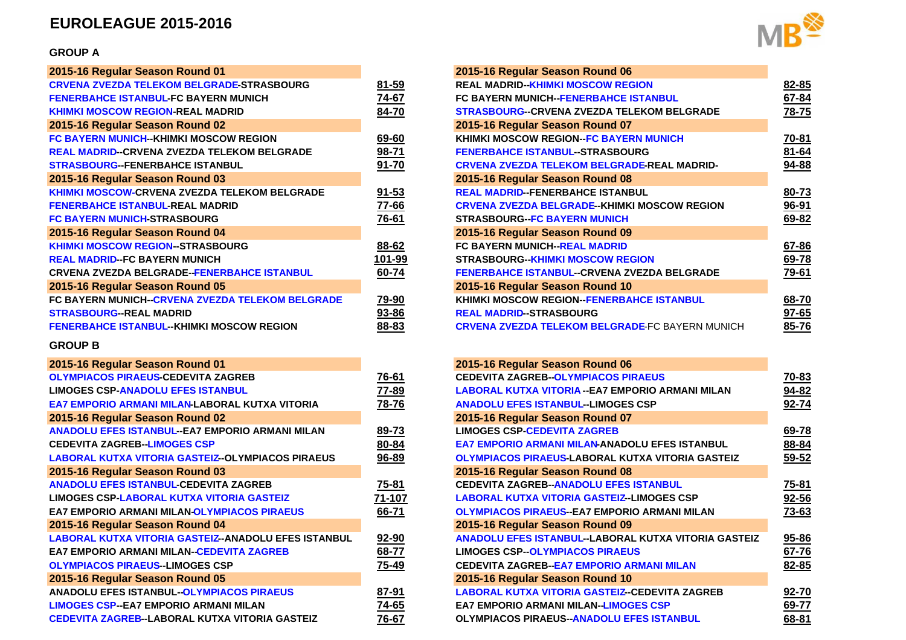## **EUROLEAGUE 2015-2016**

#### **GROUP A**

| 2015-16 Regular Season Round 01                        |           | 2015-16 Regular Season Round 06       |
|--------------------------------------------------------|-----------|---------------------------------------|
| <b>CRVENA ZVEZDA TELEKOM BELGRADE-STRASBOURG</b>       | 81-59     | <b>REAL MADRID--KHIMKI MOSCOW REG</b> |
| <b>FENERBAHCE ISTANBUL-FC BAYERN MUNICH</b>            | 74-67     | <b>FC BAYERN MUNICH-FENERBAHCE IS</b> |
| <b>KHIMKI MOSCOW REGION-REAL MADRID</b>                | 84-70     | <b>STRASBOURG--CRVENA ZVEZDA TEL</b>  |
| 2015-16 Regular Season Round 02                        |           | 2015-16 Regular Season Round 07       |
| FC BAYERN MUNICH--KHIMKI MOSCOW REGION                 | 69-60     | <b>KHIMKI MOSCOW REGION-FC BAYER</b>  |
| <b>REAL MADRID--CRVENA ZVEZDA TELEKOM BELGRADE</b>     | 98-71     | <b>FENERBAHCE ISTANBUL-STRASBOU</b>   |
| <b>STRASBOURG-FENERBAHCE ISTANBUL</b>                  | $91 - 70$ | <b>CRVENA ZVEZDA TELEKOM BELGRAI</b>  |
| 2015-16 Regular Season Round 03                        |           | 2015-16 Regular Season Round 08       |
| <b>KHIMKI MOSCOW-CRVENA ZVEZDA TELEKOM BELGRADE</b>    | $91 - 53$ | <b>REAL MADRID-FENERBAHCE ISTANB</b>  |
| <b>FENERBAHCE ISTANBUL REAL MADRID</b>                 | 77-66     | <b>CRVENA ZVEZDA BELGRADE-KHIMKI</b>  |
| FC BAYERN MUNICH STRASBOURG                            | 76-61     | <b>STRASBOURG-FC BAYERN MUNICH</b>    |
| 2015-16 Regular Season Round 04                        |           | 2015-16 Regular Season Round 09       |
| <b>KHIMKI MOSCOW REGION-STRASBOURG</b>                 | 88-62     | <b>FC BAYERN MUNICH-REAL MADRID</b>   |
| <b>REAL MADRID-FC BAYERN MUNICH</b>                    | 101-99    | <b>STRASBOURG--KHIMKI MOSCOW REG</b>  |
| <b>CRVENA ZVEZDA BELGRADE--FENERBAHCE ISTANBUL</b>     | 60-74     | <b>FENERBAHCE ISTANBUL-CRVENA ZV</b>  |
| 2015-16 Regular Season Round 05                        |           | 2015-16 Regular Season Round 10       |
| <b>FC BAYERN MUNICH-CRVENA ZVEZDA TELEKOM BELGRADE</b> | 79-90     | <b>KHIMKI MOSCOW REGION-FENERBAL</b>  |
| <b>STRASBOURG--REAL MADRID</b>                         | 93-86     | <b>REAL MADRID--STRASBOURG</b>        |
| <b>FENERBAHCE ISTANBUL--KHIMKI MOSCOW REGION</b>       | 88-83     | <b>CRVENA ZVEZDA TELEKOM BELGRAI</b>  |
|                                                        |           |                                       |

#### **GROUP B**

| 2015-16 Regular Season Round 01                          |        | 2015-16 Regular Season Round 06          |
|----------------------------------------------------------|--------|------------------------------------------|
| <b>OLYMPIACOS PIRAEUS-CEDEVITA ZAGREB</b>                | 76-61  | <b>CEDEVITA ZAGREB--OLYMPIACOS PIF</b>   |
| <b>LIMOGES CSP-ANADOLU EFES ISTANBUL</b>                 | 77-89  | <b>LABORAL KUTXA VITORIA -- EA7 EMP(</b> |
| EA7 EMPORIO ARMANI MILAN-LABORAL KUTXA VITORIA           | 78-76  | <b>ANADOLU EFES ISTANBUL--LIMOGES</b>    |
| 2015-16 Regular Season Round 02                          |        | 2015-16 Regular Season Round 07          |
| <b>ANADOLU EFES ISTANBUL--EA7 EMPORIO ARMANI MILAN</b>   | 89-73  | <b>LIMOGES CSP-CEDEVITA ZAGREB</b>       |
| <b>CEDEVITA ZAGREB-LIMOGES CSP</b>                       | 80-84  | <b>EA7 EMPORIO ARMANI MILAN-ANADO</b>    |
| <b>LABORAL KUTXA VITORIA GASTEIZ--OLYMPIACOS PIRAEUS</b> | 96-89  | <b>OLYMPIACOS PIRAEUS LABORAL KUT</b>    |
| 2015-16 Regular Season Round 03                          |        | 2015-16 Regular Season Round 08          |
| <b>ANADOLU EFES ISTANBUL CEDEVITA ZAGREB</b>             | 75-81  | <b>CEDEVITA ZAGREB--ANADOLU EFES  </b>   |
| <b>LIMOGES CSP-LABORAL KUTXA VITORIA GASTEIZ</b>         | 71-107 | <b>LABORAL KUTXA VITORIA GASTEIZ-I</b>   |
| <b>EA7 EMPORIO ARMANI MILAN-OLYMPIACOS PIRAEUS</b>       | 66-71  | <b>OLYMPIACOS PIRAEUS-EA7 EMPORI</b>     |
| 2015-16 Regular Season Round 04                          |        | 2015-16 Regular Season Round 09          |
| LABORAL KUTXA VITORIA GASTEIZ-ANADOLU EFES ISTANBUL      | 92-90  | <b>ANADOLU EFES ISTANBUL--LABORAL</b>    |
| <b>EA7 EMPORIO ARMANI MILAN-CEDEVITA ZAGREB</b>          | 68-77  | <b>LIMOGES CSP--OLYMPIACOS PIRAEU</b>    |
| <b>OLYMPIACOS PIRAEUS--LIMOGES CSP</b>                   | 75-49  | <b>CEDEVITA ZAGREB--EA7 EMPORIO AF</b>   |
| 2015-16 Regular Season Round 05                          |        | 2015-16 Regular Season Round 10          |
| <b>ANADOLU EFES ISTANBUL--OLYMPIACOS PIRAEUS</b>         | 87-91  | <b>LABORAL KUTXA VITORIA GASTEIZ-0</b>   |
| <b>LIMOGES CSP--EA7 EMPORIO ARMANI MILAN</b>             | 74-65  | <b>EA7 EMPORIO ARMANI MILAN-LIMOG</b>    |
| CEDEVITA ZAGREB--LABORAL KUTXA VITORIA GASTEIZ           | 76-67  | <b>OLYMPIACOS PIRAEUS--ANADOLU EF</b>    |
|                                                          |        |                                          |



| 0 <sub>1</sub>               |           | 2015-16 Regular Season Round 06                        |              |
|------------------------------|-----------|--------------------------------------------------------|--------------|
| RADE-STRASBOURG              | $81 - 59$ | <b>REAL MADRID--KHIMKI MOSCOW REGION</b>               | $82 - 85$    |
| RN MUNICH:                   | 74-67     | FC BAYERN MUNICH-FENERBAHCE ISTANBUL                   | 67-84        |
| IADRID                       | 84-70     | <b>STRASBOURG--CRVENA ZVEZDA TELEKOM BELGRADE</b>      | 78-75        |
| 02                           |           | 2015-16 Regular Season Round 07                        |              |
| <b>COW REGION</b>            | 69-60     | KHIMKI MOSCOW REGION-FC BAYERN MUNICH                  | <u>70-81</u> |
| <b>ELEKOM BELGRADE</b>       | $98 - 71$ | <b>FENERBAHCE ISTANBUL-STRASBOURG</b>                  | 81-64        |
| <b>ANBUL</b>                 | $91 - 70$ | <b>CRVENA ZVEZDA TELEKOM BELGRADE-REAL MADRID-</b>     | 94-88        |
| 03                           |           | 2015-16 Regular Season Round 08                        |              |
| <b>A TELEKOM BELGRADE</b>    | $91 - 53$ | <b>REAL MADRID-FENERBAHCE ISTANBUL</b>                 | 80-73        |
| <b>\DRID</b>                 | $77 - 66$ | <b>CRVENA ZVEZDA BELGRADE-KHIMKI MOSCOW REGION</b>     | $96 - 91$    |
| G                            | 76-61     | <b>STRASBOURG--FC BAYERN MUNICH</b>                    | 69-82        |
| 04                           |           | 2015-16 Regular Season Round 09                        |              |
| <b>BOURG</b>                 | 88-62     | <b>FC BAYERN MUNICH-REAL MADRID</b>                    | 67-86        |
| ж                            | 101-99    | <b>STRASBOURG--KHIMKI MOSCOW REGION</b>                | 69-78        |
| <b>IERBAHCE ISTANBUL</b>     | 60-74     | <b>FENERBAHCE ISTANBUL--CRVENA ZVEZDA BELGRADE</b>     | 79-61        |
| 05                           |           | 2015-16 Regular Season Round 10                        |              |
| <b>EZDA TELEKOM BELGRADE</b> | 79-90     | <b>KHIMKI MOSCOW REGION--FENERBAHCE ISTANBUL</b>       | 68-70        |
|                              | 93-86     | <b>REAL MADRID--STRASBOURG</b>                         | $97 - 65$    |
| <b>MOSCOW REGION</b>         | 88-83     | <b>CRVENA ZVEZDA TELEKOM BELGRADE-FC BAYERN MUNICH</b> | 85-76        |

|                               |        | 2015-16 Regular Season Round 06                             |       |
|-------------------------------|--------|-------------------------------------------------------------|-------|
| B                             | 76-61  | <b>CEDEVITA ZAGREB-OLYMPIACOS PIRAEUS</b>                   | 70-83 |
|                               | 77-89  | LABORAL KUTXA VITORIA -- EA7 EMPORIO ARMANI MILAN           | 94-82 |
| <b>UTXA VITORIA</b>           | 78-76  | <b>ANADOLU EFES ISTANBUL-LIMOGES CSP</b>                    | 92-74 |
|                               |        | 2015-16 Regular Season Round 07                             |       |
| <b>ARMANI MILAN</b>           | 89-73  | <b>LIMOGES CSP-CEDEVITA ZAGREB</b>                          | 69-78 |
|                               | 80-84  | <b>EA7 EMPORIO ARMANI MILAN ANADOLU EFES ISTANBUL</b>       | 88-84 |
| <b><i>IPIACOS PIRAEUS</i></b> | 96-89  | <b>OLYMPIACOS PIRAEUS LABORAL KUTXA VITORIA GASTEIZ</b>     | 59-52 |
|                               |        | 2015-16 Regular Season Round 08                             |       |
| <b>SREB</b>                   | 75-81  | <b>CEDEVITA ZAGREB--ANADOLU EFES ISTANBUL</b>               | 75-81 |
| <b>GASTEIZ</b>                | 71-107 | <b>LABORAL KUTXA VITORIA GASTEIZ-LIMOGES CSP</b>            | 92-56 |
| <b>DS PIRAEUS</b>             | 66-71  | <b>OLYMPIACOS PIRAEUS-EA7 EMPORIO ARMANI MILAN</b>          | 73-63 |
|                               |        | 2015-16 Regular Season Round 09                             |       |
| <b>DOLU EFES ISTANBUL</b>     | 92-90  | <b>ANADOLU EFES ISTANBUL--LABORAL KUTXA VITORIA GASTEIZ</b> | 95-86 |
| <b>ZAGREB</b>                 | 68-77  | <b>LIMOGES CSP--OLYMPIACOS PIRAEUS</b>                      | 67-76 |
|                               | 75-49  | <b>CEDEVITA ZAGREB-EA7 EMPORIO ARMANI MILAN</b>             | 82-85 |
|                               |        | 2015-16 Regular Season Round 10                             |       |
| <b>PIRAEUS</b>                | 87-91  | <b>LABORAL KUTXA VITORIA GASTEIZ-CEDEVITA ZAGREB</b>        | 92-70 |
| .AN                           | 74-65  | <b>EA7 EMPORIO ARMANI MILAN-LIMOGES CSP</b>                 | 69-77 |
| ORIA GASTEIZ                  | 76-67  | <b>OLYMPIACOS PIRAEUS-ANADOLU EFES ISTANBUL</b>             | 68-81 |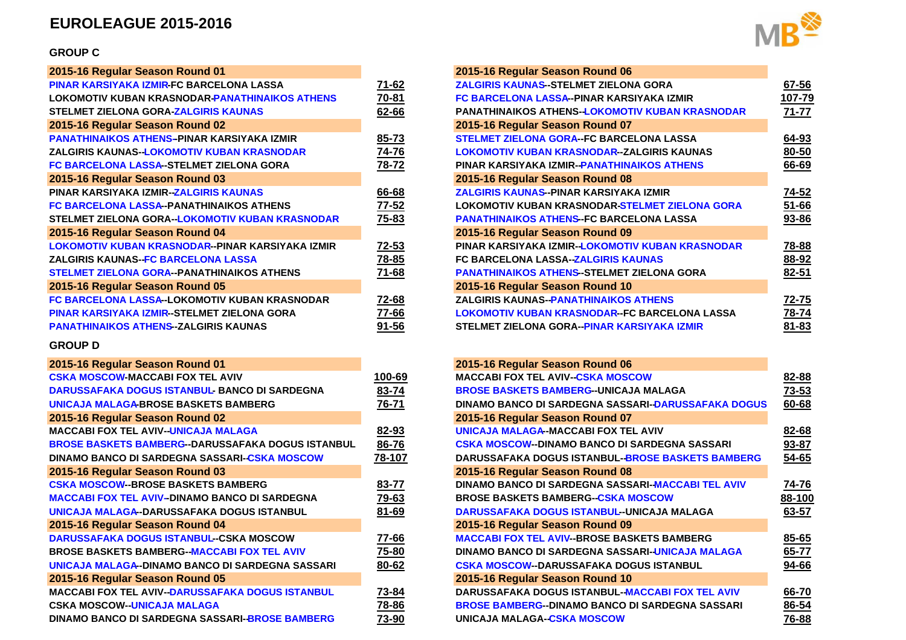## **EUROLEAGUE 2015-2016**

#### **GROUP C**

|           | 2015-16 Regular Season Round 06       |
|-----------|---------------------------------------|
| 71-62     | <b>ZALGIRIS KAUNAS-STELMET ZIELON</b> |
| 70-81     | <b>FC BARCELONA LASSA-PINAR KARS</b>  |
| 62-66     | PANATHINAIKOS ATHENS-LOKOMOT          |
|           | 2015-16 Regular Season Round 07       |
| 85-73     | <b>STELMET ZIELONA GORA--FC BARCE</b> |
| 74-76     | <b>LOKOMOTIV KUBAN KRASNODAR-ZA</b>   |
| 78-72     | PINAR KARSIYAKA IZMIR-PANATHINA       |
|           | 2015-16 Regular Season Round 08       |
| 66-68     | <b>ZALGIRIS KAUNAS-PINAR KARSIYAK</b> |
| 77-52     | <b>LOKOMOTIV KUBAN KRASNODAR-STI</b>  |
| 75-83     | <b>PANATHINAIKOS ATHENS-FC BARCE</b>  |
|           | 2015-16 Regular Season Round 09       |
| 72-53     | PINAR KARSIYAKA IZMIR-LOKOMOTI'       |
| 78-85     | <b>FC BARCELONA LASSA-ZALGIRIS KA</b> |
| 71-68     | <b>PANATHINAIKOS ATHENS-STELMET 2</b> |
|           | 2015-16 Regular Season Round 10       |
| 72-68     | <b>ZALGIRIS KAUNAS--PANATHINAIKOS</b> |
| 77-66     | <b>LOKOMOTIV KUBAN KRASNODAR--FC</b>  |
| $91 - 56$ | STELMET ZIELONA GORA--PINAR KAF       |
|           |                                       |

#### **GROUP D**

# **2015-16 Regular Season Round 01 2015-16 Regular Season Round 06**

| <b>CSKA MOSCOW-MACCABI FOX TEL AVIV</b>                  | 100-69 | <b>MACCABI FOX TEL AVIV--CSKA MOSC</b> |
|----------------------------------------------------------|--------|----------------------------------------|
| DARUSSAFAKA DOGUS ISTANBUL- BANCO DI SARDEGNA            | 83-74  | <b>BROSE BASKETS BAMBERG-UNICAJ</b>    |
| <b>UNICAJA MALAGA-BROSE BASKETS BAMBERG</b>              | 76-71  | <b>DINAMO BANCO DI SARDEGNA SASS</b>   |
| 2015-16 Regular Season Round 02                          |        | 2015-16 Regular Season Round 07        |
| <b>MACCABI FOX TEL AVIV-UNICAJA MALAGA</b>               | 82-93  | UNICAJA MALAGA-MACCABI FOX TEI         |
| <b>BROSE BASKETS BAMBERG--DARUSSAFAKA DOGUS ISTANBUL</b> | 86-76  | <b>CSKA MOSCOW--DINAMO BANCO DI S</b>  |
| DINAMO BANCO DI SARDEGNA SASSARI-CSKA MOSCOW             | 78-107 | DARUSSAFAKA DOGUS ISTANBUL-BI          |
| 2015-16 Regular Season Round 03                          |        | 2015-16 Regular Season Round 08        |
| <b>CSKA MOSCOW-BROSE BASKETS BAMBERG</b>                 | 83-77  | <b>DINAMO BANCO DI SARDEGNA SASSA</b>  |
| <b>MACCABI FOX TEL AVIV-DINAMO BANCO DI SARDEGNA</b>     | 79-63  | <b>BROSE BASKETS BAMBERG--CSKA M</b>   |
| UNICAJA MALAGA-DARUSSAFAKA DOGUS ISTANBUL                | 81-69  | <b>DARUSSAFAKA DOGUS ISTANBUL--UI</b>  |
| 2015-16 Regular Season Round 04                          |        | 2015-16 Regular Season Round 09        |
| <b>DARUSSAFAKA DOGUS ISTANBUL-CSKA MOSCOW</b>            | 77-66  | <b>MACCABI FOX TEL AVIV-BROSE BAS</b>  |
| <b>BROSE BASKETS BAMBERG--MACCABI FOX TEL AVIV</b>       | 75-80  | <b>DINAMO BANCO DI SARDEGNA SASSA</b>  |
| UNICAJA MALAGA-DINAMO BANCO DI SARDEGNA SASSARI          | 80-62  | <b>CSKA MOSCOW--DARUSSAFAKA DOG</b>    |
| 2015-16 Regular Season Round 05                          |        | 2015-16 Regular Season Round 10        |
| <b>MACCABI FOX TEL AVIV-DARUSSAFAKA DOGUS ISTANBUL</b>   | 73-84  | <b>DARUSSAFAKA DOGUS ISTANBUL-M</b>    |
| <b>CSKA MOSCOW-UNICAJA MALAGA</b>                        | 78-86  | <b>BROSE BAMBERG--DINAMO BANCO D</b>   |
| DINAMO BANCO DI SARDEGNA SASSARI-BROSE BAMBERG           | 73-90  | UNICAJA MALAGA-CSKA MOSCOW             |
|                                                          |        |                                        |



|                        |           | 2015-16 Regular Season Round 06                       |           |
|------------------------|-----------|-------------------------------------------------------|-----------|
| <b>LASSA</b>           | 71-62     | <b>ZALGIRIS KAUNAS--STELMET ZIELONA GORA</b>          | 67-56     |
| <b>IINAIKOS ATHENS</b> | 70-81     | FC BARCELONA LASSA--PINAR KARSIYAKA IZMIR             | 107-79    |
| AS                     | 62-66     | <b>PANATHINAIKOS ATHENS-LOKOMOTIV KUBAN KRASNODAR</b> | 71-77     |
|                        |           | 2015-16 Regular Season Round 07                       |           |
| \KA IZMIR              | $85 - 73$ | <b>STELMET ZIELONA GORA--FC BARCELONA LASSA</b>       | $64 - 93$ |
| <b>RASNODAR</b>        | $74 - 76$ | LOKOMOTIV KUBAN KRASNODAR-ZALGIRIS KAUNAS             | $80 - 50$ |
| A GORA                 | 78-72     | PINAR KARSIYAKA IZMIR-PANATHINAIKOS ATHENS            | 66-69     |
|                        |           | 2015-16 Regular Season Round 08                       |           |
| AS                     | 66-68     | ZALGIRIS KAUNAS--PINAR KARSIYAKA IZMIR                | 74-52     |
| <b>ATHENS</b>          | 77-52     | LOKOMOTIV KUBAN KRASNODAR-STELMET ZIELONA GORA        | $51 - 66$ |
| <b>JBAN KRASNODAR</b>  | 75-83     | <b>PANATHINAIKOS ATHENS-FC BARCELONA LASSA</b>        | 93-86     |
|                        |           | 2015-16 Regular Season Round 09                       |           |
| KARSIYAKA IZMIR        | 72-53     | PINAR KARSIYAKA IZMIR--LOKOMOTIV KUBAN KRASNODAR      | 78-88     |
| A                      | 78-85     | <b>FC BARCELONA LASSA-ZALGIRIS KAUNAS</b>             | 88-92     |
| <b>S ATHENS</b>        | 71-68     | <b>PANATHINAIKOS ATHENS-STELMET ZIELONA GORA</b>      | 82-51     |
|                        |           | 2015-16 Regular Season Round 10                       |           |
| AN KRASNODAR           | 72-68     | ZALGIRIS KAUNAS--PANATHINAIKOS ATHENS                 | 72-75     |
| <b>NA GORA</b>         | 77-66     | LOKOMOTIV KUBAN KRASNODAR--FC BARCELONA LASSA         | 78-74     |
| IAS.                   | 91-56     | STELMET ZIELONA GORA--PINAR KARSIYAKA IZMIR           | $81 - 83$ |
|                        |           |                                                       |           |

| 01                         |        | 2015-16 Regular Season Round 06                           |           |
|----------------------------|--------|-----------------------------------------------------------|-----------|
| L AVIV                     | 100-69 | <b>MACCABI FOX TEL AVIV--CSKA MOSCOW</b>                  | 82-88     |
| - BANCO DI SARDEGNA        | 83-74  | <b>BROSE BASKETS BAMBERG--UNICAJA MALAGA</b>              | 73-53     |
| <b>FS BAMBERG</b>          | 76-71  | <b>DINAMO BANCO DI SARDEGNA SASSARI-DARUSSAFAKA DOGUS</b> | 60-68     |
| 02                         |        | 2015-16 Regular Season Round 07                           |           |
| <b>MALAGA</b>              | 82-93  | UNICAJA MALAGA-MACCABI FOX TEL AVIV                       | $82 - 68$ |
| USSAFAKA DOGUS ISTANBUL    | 86-76  | <b>CSKA MOSCOW--DINAMO BANCO DI SARDEGNA SASSARI</b>      | 93-87     |
| SSARI-CSKA MOSCOW          | 78-107 | DARUSSAFAKA DOGUS ISTANBUL-BROSE BASKETS BAMBERG          | 54-65     |
| 03                         |        | 2015-16 Regular Season Round 08                           |           |
| <b>BAMBERG</b>             | 83-77  | DINAMO BANCO DI SARDEGNA SASSARI-MACCABI TEL AVIV         | 74-76     |
| <b>BANCO DI SARDEGNA</b>   | 79-63  | <b>BROSE BASKETS BAMBERG-CSKA MOSCOW</b>                  | 88-100    |
| <b>A DOGUS ISTANBUL</b>    | 81-69  | DARUSSAFAKA DOGUS ISTANBUL-UNICAJA MALAGA                 | 63-57     |
| 04                         |        | 2015-16 Regular Season Round 09                           |           |
| --CSKA MOSCOW              | 77-66  | <b>MACCABI FOX TEL AVIV--BROSE BASKETS BAMBERG</b>        | 85-65     |
| <b>CABI FOX TEL AVIV</b>   | 75-80  | DINAMO BANCO DI SARDEGNA SASSARI-UNICAJA MALAGA           | 65-77     |
| O DI SARDEGNA SASSARI      | 80-62  | <b>CSKA MOSCOW--DARUSSAFAKA DOGUS ISTANBUL</b>            | 94-66     |
| 05                         |        | 2015-16 Regular Season Round 10                           |           |
| AFAKA DOGUS ISTANBUL       | 73-84  | <b>DARUSSAFAKA DOGUS ISTANBUL-MACCABI FOX TEL AVIV</b>    | 66-70     |
| А                          | 78-86  | <b>BROSE BAMBERG-DINAMO BANCO DI SARDEGNA SASSARI</b>     | $86 - 54$ |
| <b>SSARI-BROSE BAMBERG</b> | 73-90  | UNICAJA MALAGA-CSKA MOSCOW                                | 76-88     |
|                            |        |                                                           |           |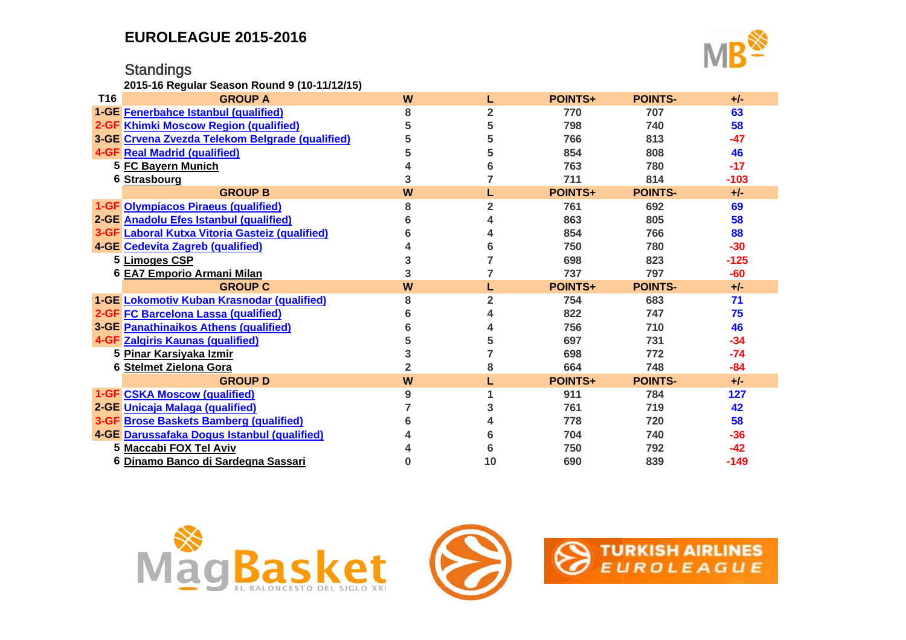# **Standings**

**2015-16 Regular Season Round 9 (10-11/12/15)**



| T16 | <b>GROUP A</b>                                  | W |                | <b>POINTS+</b> | <b>POINTS-</b> | $+/-$  |
|-----|-------------------------------------------------|---|----------------|----------------|----------------|--------|
|     | <b>1-GE Fenerbahce Istanbul (qualified)</b>     | 8 | $\overline{2}$ | 770            | 707            | 63     |
|     | 2-GF Khimki Moscow Region (qualified)           |   | 5              | 798            | 740            | 58     |
|     | 3-GE Crvena Zvezda Telekom Belgrade (qualified) |   | 5              | 766            | 813            | $-47$  |
|     | <b>4-GF Real Madrid (qualified)</b>             |   |                | 854            | 808            | 46     |
|     | 5 FC Bayern Munich                              |   |                | 763            | 780            | $-17$  |
|     | 6 Strasbourg                                    | 3 |                | 711            | 814            | $-103$ |
|     | <b>GROUP B</b>                                  | W |                | <b>POINTS+</b> | <b>POINTS-</b> | $+/-$  |
|     | 1-GF Olympiacos Piraeus (qualified)             | 8 | 2              | 761            | 692            | 69     |
|     | 2-GE Anadolu Efes Istanbul (qualified)          |   |                | 863            | 805            | 58     |
|     | 3-GF Laboral Kutxa Vitoria Gasteiz (qualified)  |   |                | 854            | 766            | 88     |
|     | 4-GE Cedevita Zagreb (qualified)                |   | 6              | 750            | 780            | $-30$  |
|     | 5 Limoges CSP                                   |   |                | 698            | 823            | $-125$ |
|     | 6 EA7 Emporio Armani Milan                      | 3 |                | 737            | 797            | -60    |
|     | <b>GROUP C</b>                                  | W |                | <b>POINTS+</b> | <b>POINTS-</b> | $+/-$  |
|     | 1-GE Lokomotiv Kuban Krasnodar (qualified)      | 8 | $\overline{2}$ | 754            | 683            | 71     |
|     | 2-GF FC Barcelona Lassa (qualified)             |   |                | 822            | 747            | 75     |
|     | <b>3-GE Panathinaikos Athens (qualified)</b>    |   |                | 756            | 710            | 46     |
|     | 4-GF Zalgiris Kaunas (qualified)                |   | 5              | 697            | 731            | $-34$  |
|     | 5 Pinar Karsiyaka Izmir                         |   |                | 698            | 772            | $-74$  |
|     | 6 Stelmet Zielona Gora                          |   | 8              | 664            | 748            | $-84$  |
|     | <b>GROUP D</b>                                  | W |                | <b>POINTS+</b> | <b>POINTS-</b> | $+/-$  |
|     | <b>1-GF CSKA Moscow (qualified)</b>             | 9 |                | 911            | 784            | 127    |
|     | 2-GE Unicaja Malaga (qualified)                 |   | 3              | 761            | 719            | 42     |
|     | 3-GF Brose Baskets Bamberg (qualified)          |   |                | 778            | 720            | 58     |
|     | 4-GE Darussafaka Dogus Istanbul (qualified)     |   |                | 704            | 740            | $-36$  |
|     | 5 Maccabi FOX Tel Aviv                          |   |                | 750            | 792            | $-42$  |
|     | 6 Dinamo Banco di Sardegna Sassari              |   | 10             | 690            | 839            | $-149$ |





 $\bigotimes$  TURKISH AIRLINES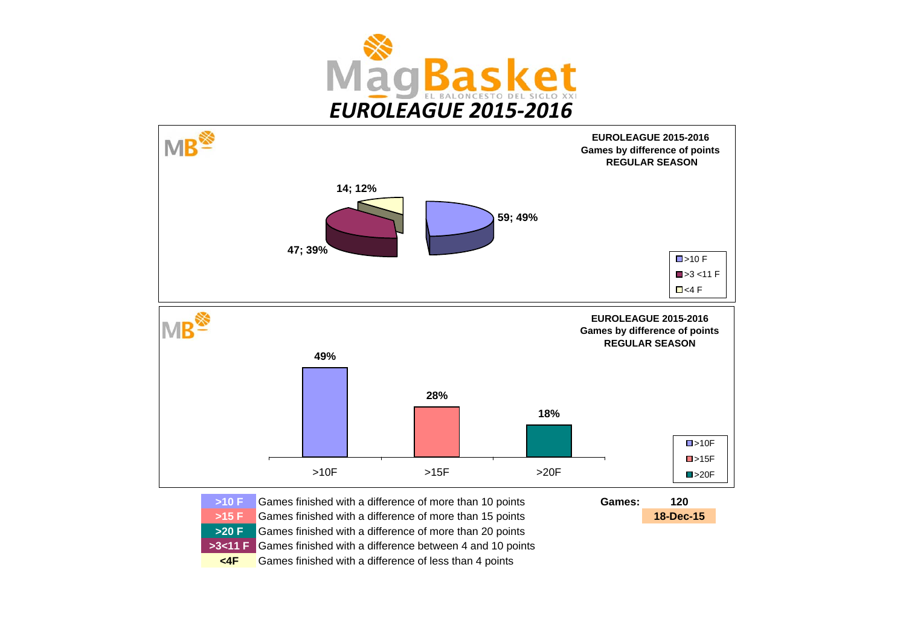



**>10 F** Games finished with a difference of more than 10 points **120 >15 F**Games finished with a difference of more than 15 points **18-Dec-15 >20 F** Games finished with a difference of more than 20 points **>3<11 F** Games finished with a difference between 4 and 10 points **<4F** Games finished with a difference of less than 4 points **Games:**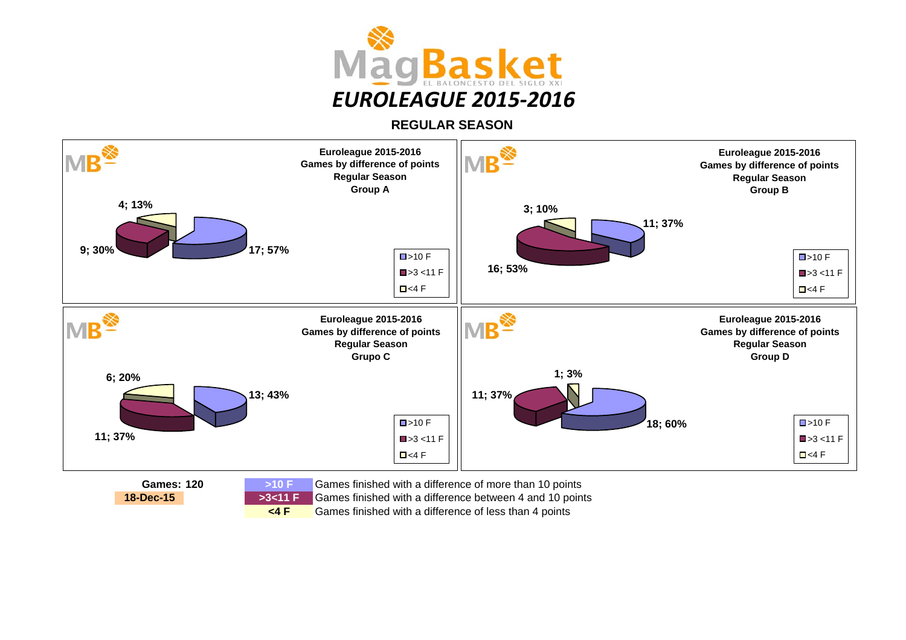

**REGULAR SEASON**



Games finished with a difference of less than 4 points

**<4 F**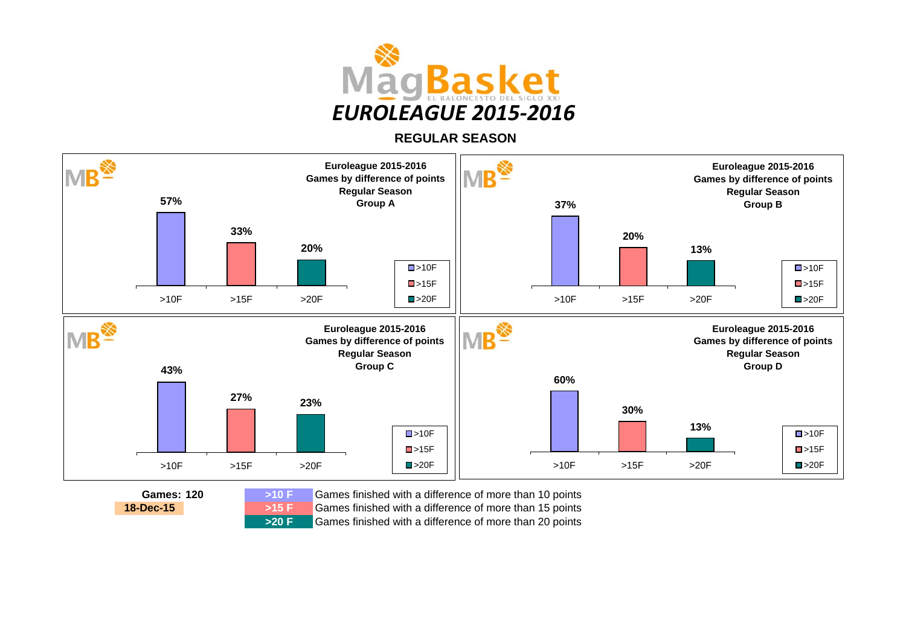

**REGULAR SEASON**



 Games finished with a difference of more than 10 points Games finished with a difference of more than 15 points Games finished with a difference of more than 20 points

**18-Dec-15**

**>15 F**

**>20 F**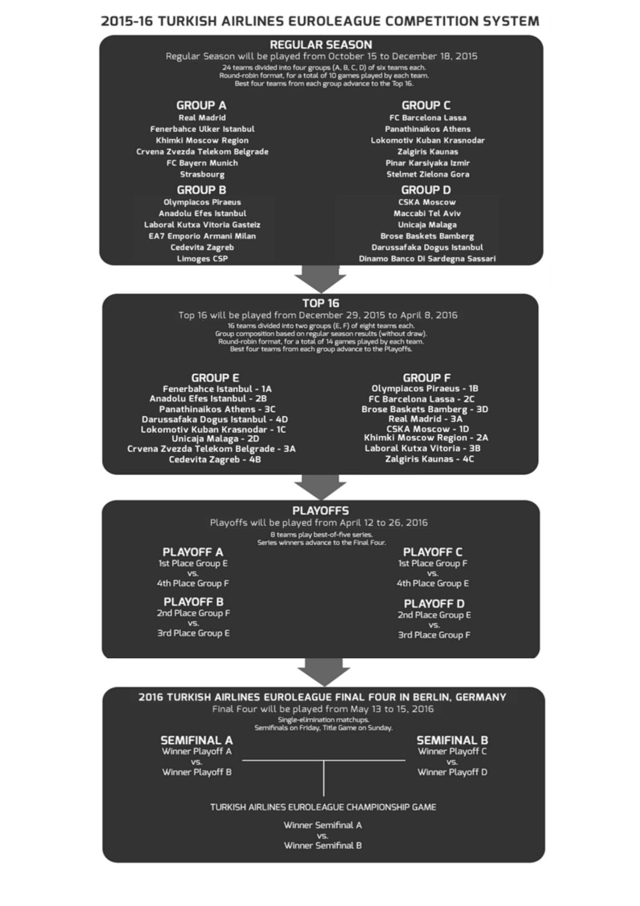## **2015-16 TURKISH AIRLINES EUROLEAGUE COMPETITION SYSTEM**

### **REGULAR SEASON**

Regular Season will be played from October 15 to December 18, 2015 24 teams divided into four groups (A, B, C, D) of six teams each.<br>Round-robin format, for a total of 10 games played by each team.<br>Best four teams from each group advance to the Top 16.

#### **GROUP A**

**Real Madrid** Fenerbahce Ulker Istanbul **Khimki Moscow Region** Crvena Zvezda Telekom Belgrade FC Bayern Munich **Strasbourg** 

#### **GROUP B**

**Olympiacos Piraeus** Anadolu Efes Istanbul Laboral Kutxa Vitoria Gasteiz **EA7 Emporio Armani Milan** Cedevita Zagreb **Limoges CSP** 

#### **GROUP C**

**FC Barcelona Lassa Panathinaikos Athens** Lokomotiv Kuban Krasnodar **Zalgiris Kaunas** Pinar Karsiyaka Izmir Stelmet Zielona Gora

#### **GROUP D**

**CSKA Moscow** Maccabi Tel Aviv Unicaja Malaga **Brose Baskets Bamberg** Darussafaka Dogus Istanbul Dinamo Banco Di Sardegna Sassari

#### **TOP 16**

Top 16 will be played from December 29, 2015 to April 8, 2016 16 betaward into two creations (E, F) of eight teams and into two creations (E, F) of eight teams ach.<br>The same divided into two groups (E, F) of eight teams each.<br>The same space of the same space of the play of the Rayoff

#### **GROUP E**

Fenerbahce Istanbul - 1A Anadolu Efes Istanbul - 2B **Panathinaikos Athens - 3C** Darussafaka Dogus Istanbul - 4D Lokomotiv Kuban Krasnodar - 1C<br>Unicaja Malaga - 2D Crvena Zvezda Telekom Belgrade - 3A Cedevita Zagreb - 4B

#### **GROUP F**

**Olympiacos Piraeus - 1B** FC Barcelona Lassa - 2C **PC Barcetona Cassa - 2C**<br>Brose Baskets Bamberg - 3D<br>Real Madrid - 3A **CSKA Moscow - 1D** Khimki Moscow Region - 2A Laboral Kutxa Vitoria - 3B Zalgiris Kaunas - 4C

#### **PLAYOFFS**

Playoffs will be played from April 12 to 26, 2016 8 teams play best-of-five series Series winners advance to the Final Four.

## **PLAYOFF A**

1st Place Group E VS. 4th Place Group F

#### **PLAYOFF B** 2nd Place Group F VS.

**3rd Place Group E** 

#### **PLAYOFF C** 1st Place Group F V<sub>5</sub> 4th Place Group E

**PLAYOFF D** 2nd Place Group E

VS. **3rd Place Group F** 





TURKISH AIRLINES EUROLEAGUE CHAMPIONSHIP GAME

Winner Semifinal A VS. Winner Semifinal B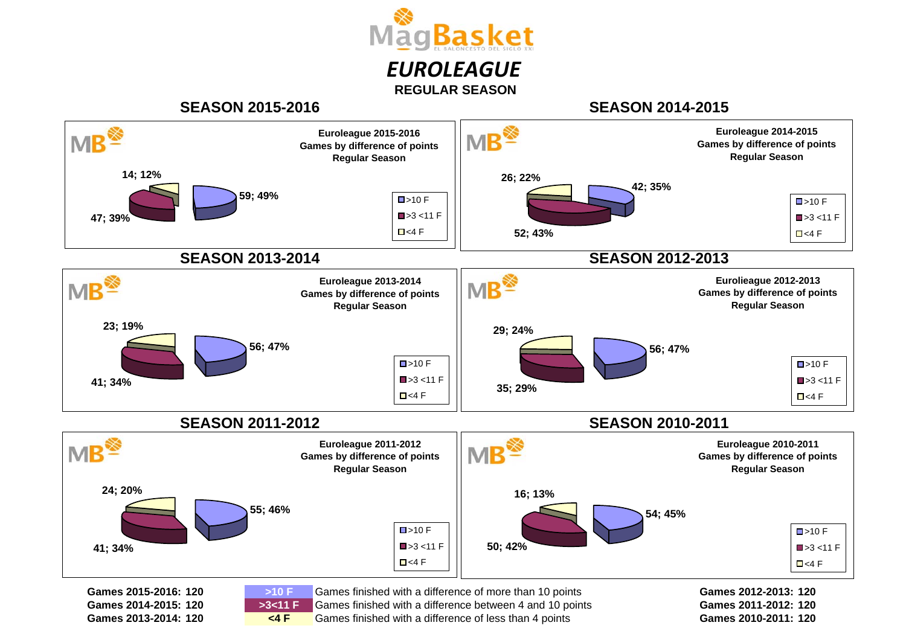

## **SEASON 2015-2016**

**120Games 2013-2014:**

**<4 F**

**SEASON 2014-2015**



**Games 2010-2011:**